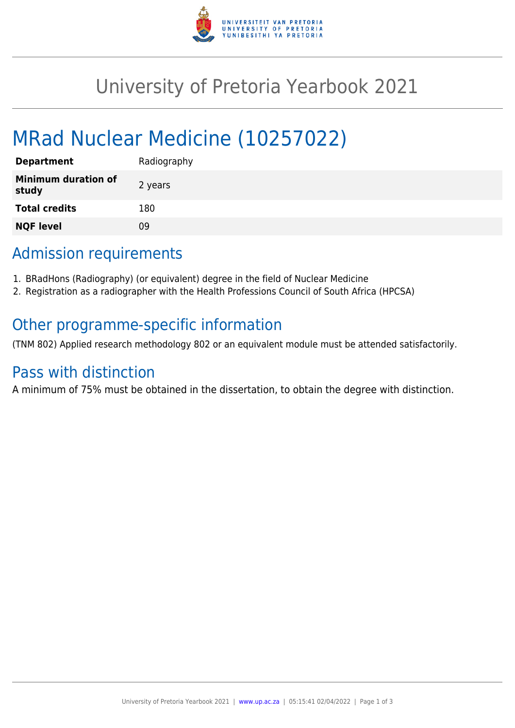

# University of Pretoria Yearbook 2021

# MRad Nuclear Medicine (10257022)

| <b>Department</b>                   | Radiography |
|-------------------------------------|-------------|
| <b>Minimum duration of</b><br>study | 2 years     |
| <b>Total credits</b>                | 180         |
| <b>NQF level</b>                    | ΩÓ          |

## Admission requirements

- 1. BRadHons (Radiography) (or equivalent) degree in the field of Nuclear Medicine
- 2. Registration as a radiographer with the Health Professions Council of South Africa (HPCSA)

### Other programme-specific information

(TNM 802) Applied research methodology 802 or an equivalent module must be attended satisfactorily.

### Pass with distinction

A minimum of 75% must be obtained in the dissertation, to obtain the degree with distinction.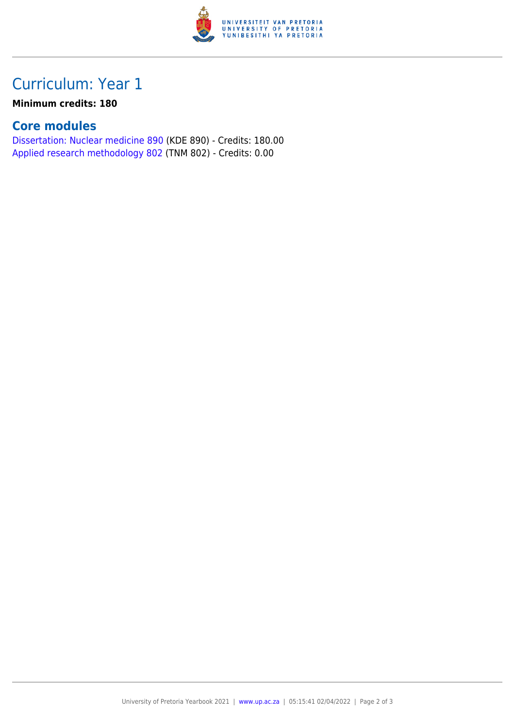

## Curriculum: Year 1

#### **Minimum credits: 180**

#### **Core modules**

[Dissertation: Nuclear medicine 890](https://www.up.ac.za/mechanical-and-aeronautical-engineering/yearbooks/2021/modules/view/KDE 890) (KDE 890) - Credits: 180.00 [Applied research methodology 802](https://www.up.ac.za/mechanical-and-aeronautical-engineering/yearbooks/2021/modules/view/TNM 802) (TNM 802) - Credits: 0.00